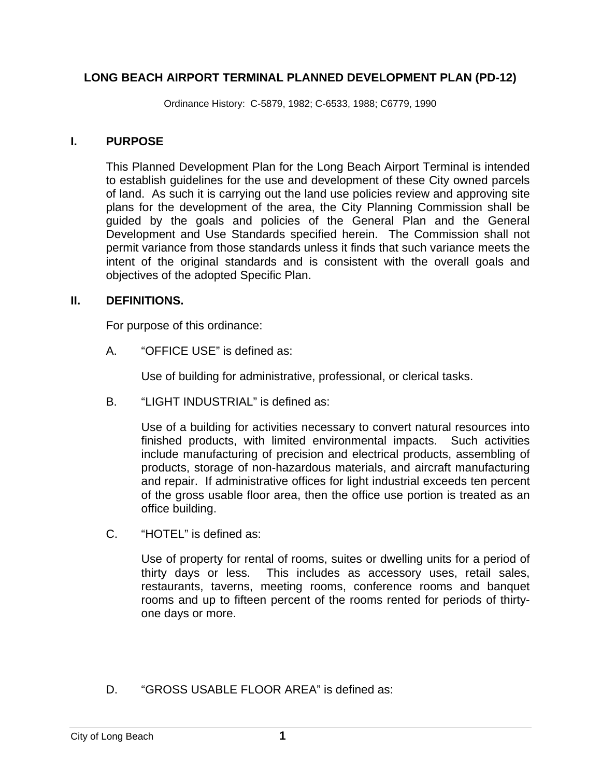## **LONG BEACH AIRPORT TERMINAL PLANNED DEVELOPMENT PLAN (PD-12)**

Ordinance History: C-5879, 1982; C-6533, 1988; C6779, 1990

#### **I. PURPOSE**

This Planned Development Plan for the Long Beach Airport Terminal is intended to establish guidelines for the use and development of these City owned parcels of land. As such it is carrying out the land use policies review and approving site plans for the development of the area, the City Planning Commission shall be guided by the goals and policies of the General Plan and the General Development and Use Standards specified herein. The Commission shall not permit variance from those standards unless it finds that such variance meets the intent of the original standards and is consistent with the overall goals and objectives of the adopted Specific Plan.

#### **II. DEFINITIONS.**

For purpose of this ordinance:

A. "OFFICE USE" is defined as:

Use of building for administrative, professional, or clerical tasks.

B. "LIGHT INDUSTRIAL" is defined as:

Use of a building for activities necessary to convert natural resources into finished products, with limited environmental impacts. Such activities include manufacturing of precision and electrical products, assembling of products, storage of non-hazardous materials, and aircraft manufacturing and repair. If administrative offices for light industrial exceeds ten percent of the gross usable floor area, then the office use portion is treated as an office building.

C. "HOTEL" is defined as:

Use of property for rental of rooms, suites or dwelling units for a period of thirty days or less. This includes as accessory uses, retail sales, restaurants, taverns, meeting rooms, conference rooms and banquet rooms and up to fifteen percent of the rooms rented for periods of thirtyone days or more.

D. "GROSS USABLE FLOOR AREA" is defined as: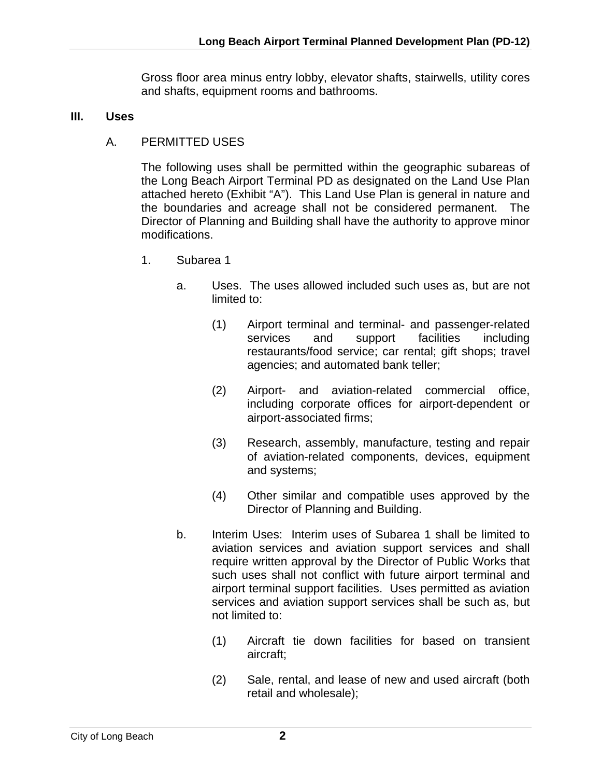Gross floor area minus entry lobby, elevator shafts, stairwells, utility cores and shafts, equipment rooms and bathrooms.

## **III. Uses**

A. PERMITTED USES

The following uses shall be permitted within the geographic subareas of the Long Beach Airport Terminal PD as designated on the Land Use Plan attached hereto (Exhibit "A"). This Land Use Plan is general in nature and the boundaries and acreage shall not be considered permanent. The Director of Planning and Building shall have the authority to approve minor modifications.

- 1. Subarea 1
	- a. Uses. The uses allowed included such uses as, but are not limited to:
		- (1) Airport terminal and terminal- and passenger-related services and support facilities including restaurants/food service; car rental; gift shops; travel agencies; and automated bank teller;
		- (2) Airport- and aviation-related commercial office, including corporate offices for airport-dependent or airport-associated firms;
		- (3) Research, assembly, manufacture, testing and repair of aviation-related components, devices, equipment and systems;
		- (4) Other similar and compatible uses approved by the Director of Planning and Building.
	- b. Interim Uses: Interim uses of Subarea 1 shall be limited to aviation services and aviation support services and shall require written approval by the Director of Public Works that such uses shall not conflict with future airport terminal and airport terminal support facilities. Uses permitted as aviation services and aviation support services shall be such as, but not limited to:
		- (1) Aircraft tie down facilities for based on transient aircraft;
		- (2) Sale, rental, and lease of new and used aircraft (both retail and wholesale);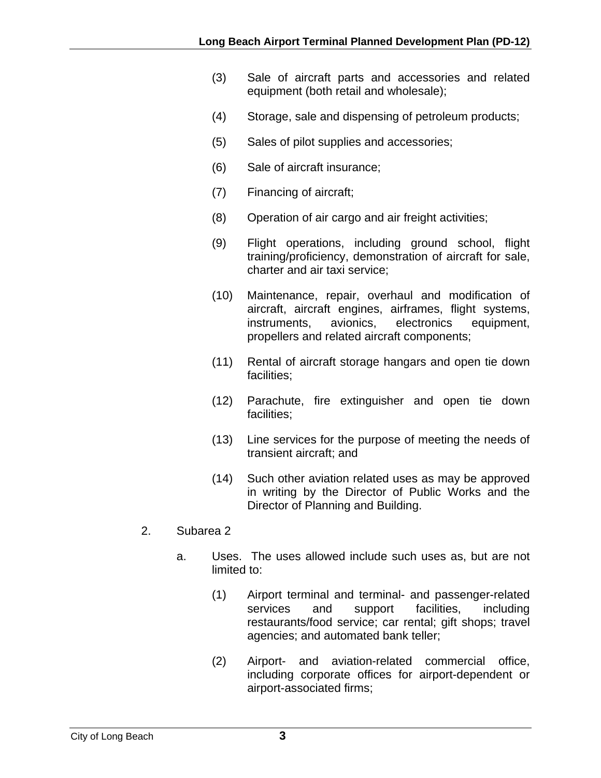- (3) Sale of aircraft parts and accessories and related equipment (both retail and wholesale);
- (4) Storage, sale and dispensing of petroleum products;
- (5) Sales of pilot supplies and accessories;
- (6) Sale of aircraft insurance;
- (7) Financing of aircraft;
- (8) Operation of air cargo and air freight activities;
- (9) Flight operations, including ground school, flight training/proficiency, demonstration of aircraft for sale, charter and air taxi service;
- (10) Maintenance, repair, overhaul and modification of aircraft, aircraft engines, airframes, flight systems, instruments, avionics, electronics equipment, propellers and related aircraft components;
- (11) Rental of aircraft storage hangars and open tie down facilities;
- (12) Parachute, fire extinguisher and open tie down facilities;
- (13) Line services for the purpose of meeting the needs of transient aircraft; and
- (14) Such other aviation related uses as may be approved in writing by the Director of Public Works and the Director of Planning and Building.
- 2. Subarea 2
	- a. Uses. The uses allowed include such uses as, but are not limited to:
		- (1) Airport terminal and terminal- and passenger-related services and support facilities, including restaurants/food service; car rental; gift shops; travel agencies; and automated bank teller;
		- (2) Airport- and aviation-related commercial office, including corporate offices for airport-dependent or airport-associated firms;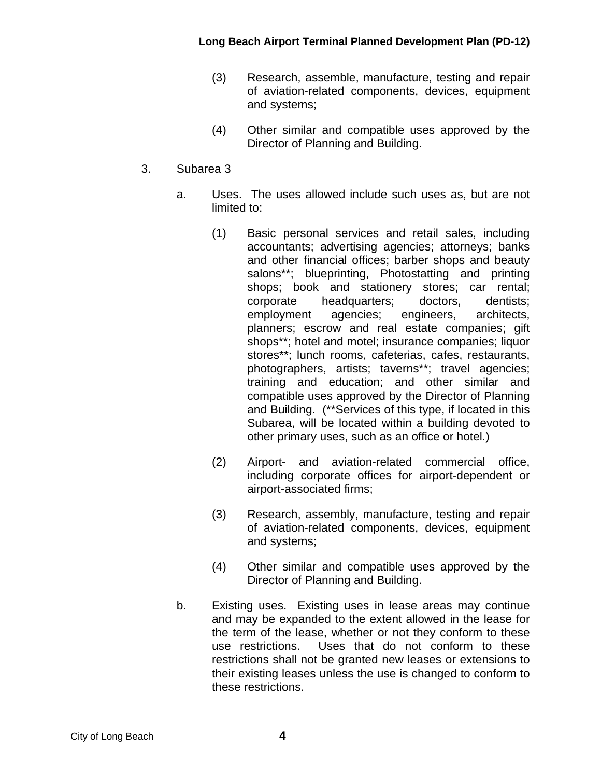- (3) Research, assemble, manufacture, testing and repair of aviation-related components, devices, equipment and systems;
- (4) Other similar and compatible uses approved by the Director of Planning and Building.
- 3. Subarea 3
	- a. Uses. The uses allowed include such uses as, but are not limited to:
		- (1) Basic personal services and retail sales, including accountants; advertising agencies; attorneys; banks and other financial offices; barber shops and beauty salons\*\*; blueprinting, Photostatting and printing shops; book and stationery stores; car rental; corporate headquarters; doctors, dentists; employment agencies; engineers, architects, planners; escrow and real estate companies; gift shops\*\*; hotel and motel; insurance companies; liquor stores\*\*; lunch rooms, cafeterias, cafes, restaurants, photographers, artists; taverns\*\*; travel agencies; training and education; and other similar and compatible uses approved by the Director of Planning and Building. (\*\*Services of this type, if located in this Subarea, will be located within a building devoted to other primary uses, such as an office or hotel.)
		- (2) Airport- and aviation-related commercial office, including corporate offices for airport-dependent or airport-associated firms;
		- (3) Research, assembly, manufacture, testing and repair of aviation-related components, devices, equipment and systems;
		- (4) Other similar and compatible uses approved by the Director of Planning and Building.
	- b. Existing uses. Existing uses in lease areas may continue and may be expanded to the extent allowed in the lease for the term of the lease, whether or not they conform to these use restrictions. Uses that do not conform to these restrictions shall not be granted new leases or extensions to their existing leases unless the use is changed to conform to these restrictions.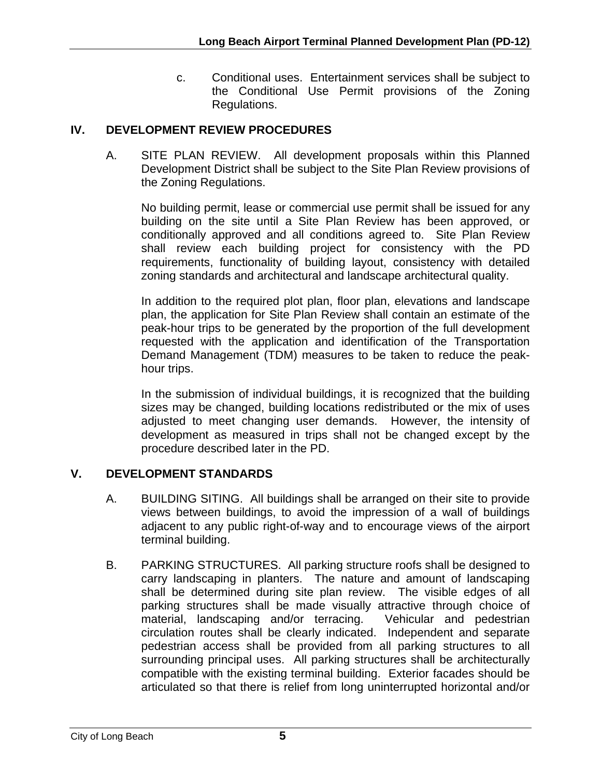c. Conditional uses. Entertainment services shall be subject to the Conditional Use Permit provisions of the Zoning Regulations.

## **IV. DEVELOPMENT REVIEW PROCEDURES**

A. SITE PLAN REVIEW. All development proposals within this Planned Development District shall be subject to the Site Plan Review provisions of the Zoning Regulations.

No building permit, lease or commercial use permit shall be issued for any building on the site until a Site Plan Review has been approved, or conditionally approved and all conditions agreed to. Site Plan Review shall review each building project for consistency with the PD requirements, functionality of building layout, consistency with detailed zoning standards and architectural and landscape architectural quality.

In addition to the required plot plan, floor plan, elevations and landscape plan, the application for Site Plan Review shall contain an estimate of the peak-hour trips to be generated by the proportion of the full development requested with the application and identification of the Transportation Demand Management (TDM) measures to be taken to reduce the peakhour trips.

In the submission of individual buildings, it is recognized that the building sizes may be changed, building locations redistributed or the mix of uses adjusted to meet changing user demands. However, the intensity of development as measured in trips shall not be changed except by the procedure described later in the PD.

#### **V. DEVELOPMENT STANDARDS**

- A. BUILDING SITING. All buildings shall be arranged on their site to provide views between buildings, to avoid the impression of a wall of buildings adjacent to any public right-of-way and to encourage views of the airport terminal building.
- B. PARKING STRUCTURES. All parking structure roofs shall be designed to carry landscaping in planters. The nature and amount of landscaping shall be determined during site plan review. The visible edges of all parking structures shall be made visually attractive through choice of material, landscaping and/or terracing. Vehicular and pedestrian circulation routes shall be clearly indicated. Independent and separate pedestrian access shall be provided from all parking structures to all surrounding principal uses. All parking structures shall be architecturally compatible with the existing terminal building. Exterior facades should be articulated so that there is relief from long uninterrupted horizontal and/or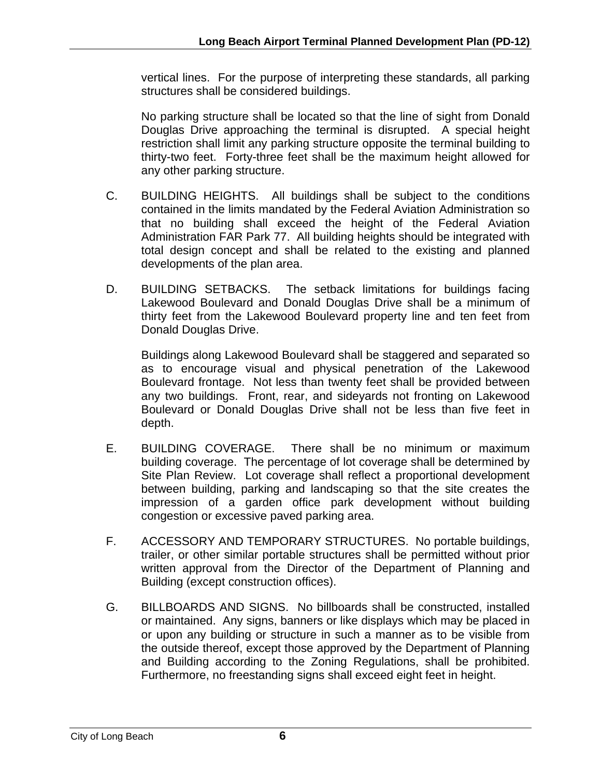vertical lines. For the purpose of interpreting these standards, all parking structures shall be considered buildings.

No parking structure shall be located so that the line of sight from Donald Douglas Drive approaching the terminal is disrupted. A special height restriction shall limit any parking structure opposite the terminal building to thirty-two feet. Forty-three feet shall be the maximum height allowed for any other parking structure.

- C. BUILDING HEIGHTS. All buildings shall be subject to the conditions contained in the limits mandated by the Federal Aviation Administration so that no building shall exceed the height of the Federal Aviation Administration FAR Park 77. All building heights should be integrated with total design concept and shall be related to the existing and planned developments of the plan area.
- D. BUILDING SETBACKS. The setback limitations for buildings facing Lakewood Boulevard and Donald Douglas Drive shall be a minimum of thirty feet from the Lakewood Boulevard property line and ten feet from Donald Douglas Drive.

Buildings along Lakewood Boulevard shall be staggered and separated so as to encourage visual and physical penetration of the Lakewood Boulevard frontage. Not less than twenty feet shall be provided between any two buildings. Front, rear, and sideyards not fronting on Lakewood Boulevard or Donald Douglas Drive shall not be less than five feet in depth.

- E. BUILDING COVERAGE. There shall be no minimum or maximum building coverage. The percentage of lot coverage shall be determined by Site Plan Review. Lot coverage shall reflect a proportional development between building, parking and landscaping so that the site creates the impression of a garden office park development without building congestion or excessive paved parking area.
- F. ACCESSORY AND TEMPORARY STRUCTURES. No portable buildings, trailer, or other similar portable structures shall be permitted without prior written approval from the Director of the Department of Planning and Building (except construction offices).
- G. BILLBOARDS AND SIGNS. No billboards shall be constructed, installed or maintained. Any signs, banners or like displays which may be placed in or upon any building or structure in such a manner as to be visible from the outside thereof, except those approved by the Department of Planning and Building according to the Zoning Regulations, shall be prohibited. Furthermore, no freestanding signs shall exceed eight feet in height.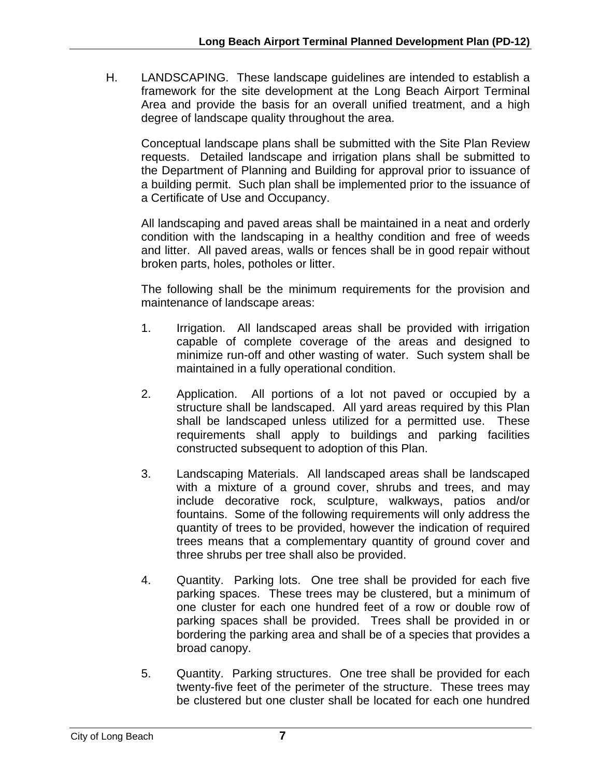H. LANDSCAPING. These landscape guidelines are intended to establish a framework for the site development at the Long Beach Airport Terminal Area and provide the basis for an overall unified treatment, and a high degree of landscape quality throughout the area.

Conceptual landscape plans shall be submitted with the Site Plan Review requests. Detailed landscape and irrigation plans shall be submitted to the Department of Planning and Building for approval prior to issuance of a building permit. Such plan shall be implemented prior to the issuance of a Certificate of Use and Occupancy.

All landscaping and paved areas shall be maintained in a neat and orderly condition with the landscaping in a healthy condition and free of weeds and litter. All paved areas, walls or fences shall be in good repair without broken parts, holes, potholes or litter.

The following shall be the minimum requirements for the provision and maintenance of landscape areas:

- 1. Irrigation. All landscaped areas shall be provided with irrigation capable of complete coverage of the areas and designed to minimize run-off and other wasting of water. Such system shall be maintained in a fully operational condition.
- 2. Application. All portions of a lot not paved or occupied by a structure shall be landscaped. All yard areas required by this Plan shall be landscaped unless utilized for a permitted use. These requirements shall apply to buildings and parking facilities constructed subsequent to adoption of this Plan.
- 3. Landscaping Materials. All landscaped areas shall be landscaped with a mixture of a ground cover, shrubs and trees, and may include decorative rock, sculpture, walkways, patios and/or fountains. Some of the following requirements will only address the quantity of trees to be provided, however the indication of required trees means that a complementary quantity of ground cover and three shrubs per tree shall also be provided.
- 4. Quantity. Parking lots. One tree shall be provided for each five parking spaces. These trees may be clustered, but a minimum of one cluster for each one hundred feet of a row or double row of parking spaces shall be provided. Trees shall be provided in or bordering the parking area and shall be of a species that provides a broad canopy.
- 5. Quantity. Parking structures. One tree shall be provided for each twenty-five feet of the perimeter of the structure. These trees may be clustered but one cluster shall be located for each one hundred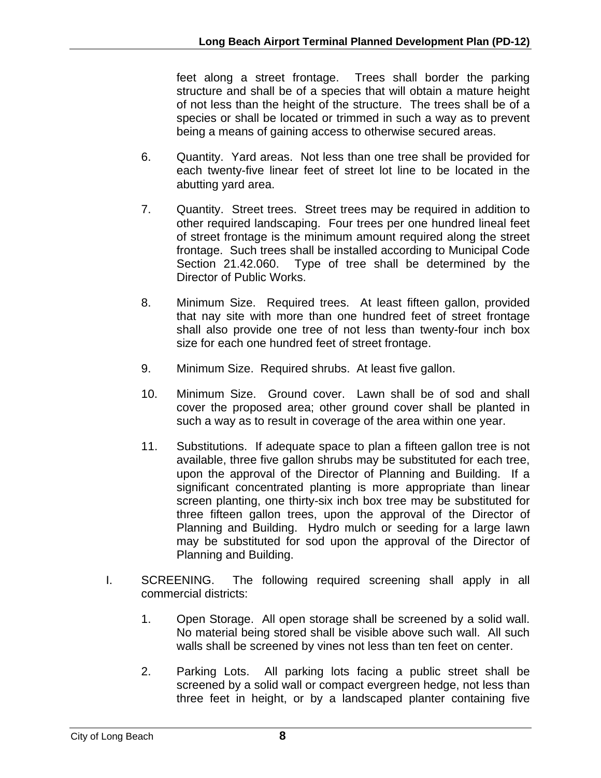feet along a street frontage. Trees shall border the parking structure and shall be of a species that will obtain a mature height of not less than the height of the structure. The trees shall be of a species or shall be located or trimmed in such a way as to prevent being a means of gaining access to otherwise secured areas.

- 6. Quantity. Yard areas. Not less than one tree shall be provided for each twenty-five linear feet of street lot line to be located in the abutting yard area.
- 7. Quantity. Street trees. Street trees may be required in addition to other required landscaping. Four trees per one hundred lineal feet of street frontage is the minimum amount required along the street frontage. Such trees shall be installed according to Municipal Code Section 21.42.060. Type of tree shall be determined by the Director of Public Works.
- 8. Minimum Size. Required trees. At least fifteen gallon, provided that nay site with more than one hundred feet of street frontage shall also provide one tree of not less than twenty-four inch box size for each one hundred feet of street frontage.
- 9. Minimum Size. Required shrubs. At least five gallon.
- 10. Minimum Size. Ground cover. Lawn shall be of sod and shall cover the proposed area; other ground cover shall be planted in such a way as to result in coverage of the area within one year.
- 11. Substitutions. If adequate space to plan a fifteen gallon tree is not available, three five gallon shrubs may be substituted for each tree, upon the approval of the Director of Planning and Building. If a significant concentrated planting is more appropriate than linear screen planting, one thirty-six inch box tree may be substituted for three fifteen gallon trees, upon the approval of the Director of Planning and Building. Hydro mulch or seeding for a large lawn may be substituted for sod upon the approval of the Director of Planning and Building.
- I. SCREENING. The following required screening shall apply in all commercial districts:
	- 1. Open Storage. All open storage shall be screened by a solid wall. No material being stored shall be visible above such wall. All such walls shall be screened by vines not less than ten feet on center.
	- 2. Parking Lots. All parking lots facing a public street shall be screened by a solid wall or compact evergreen hedge, not less than three feet in height, or by a landscaped planter containing five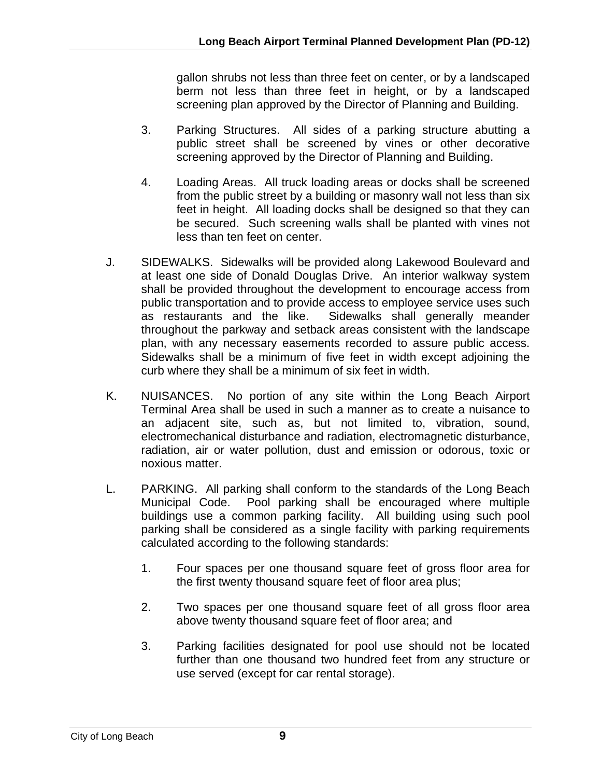gallon shrubs not less than three feet on center, or by a landscaped berm not less than three feet in height, or by a landscaped screening plan approved by the Director of Planning and Building.

- 3. Parking Structures. All sides of a parking structure abutting a public street shall be screened by vines or other decorative screening approved by the Director of Planning and Building.
- 4. Loading Areas. All truck loading areas or docks shall be screened from the public street by a building or masonry wall not less than six feet in height. All loading docks shall be designed so that they can be secured. Such screening walls shall be planted with vines not less than ten feet on center.
- J. SIDEWALKS. Sidewalks will be provided along Lakewood Boulevard and at least one side of Donald Douglas Drive. An interior walkway system shall be provided throughout the development to encourage access from public transportation and to provide access to employee service uses such as restaurants and the like. Sidewalks shall generally meander throughout the parkway and setback areas consistent with the landscape plan, with any necessary easements recorded to assure public access. Sidewalks shall be a minimum of five feet in width except adjoining the curb where they shall be a minimum of six feet in width.
- K. NUISANCES. No portion of any site within the Long Beach Airport Terminal Area shall be used in such a manner as to create a nuisance to an adjacent site, such as, but not limited to, vibration, sound, electromechanical disturbance and radiation, electromagnetic disturbance, radiation, air or water pollution, dust and emission or odorous, toxic or noxious matter.
- L. PARKING. All parking shall conform to the standards of the Long Beach Municipal Code. Pool parking shall be encouraged where multiple buildings use a common parking facility. All building using such pool parking shall be considered as a single facility with parking requirements calculated according to the following standards:
	- 1. Four spaces per one thousand square feet of gross floor area for the first twenty thousand square feet of floor area plus;
	- 2. Two spaces per one thousand square feet of all gross floor area above twenty thousand square feet of floor area; and
	- 3. Parking facilities designated for pool use should not be located further than one thousand two hundred feet from any structure or use served (except for car rental storage).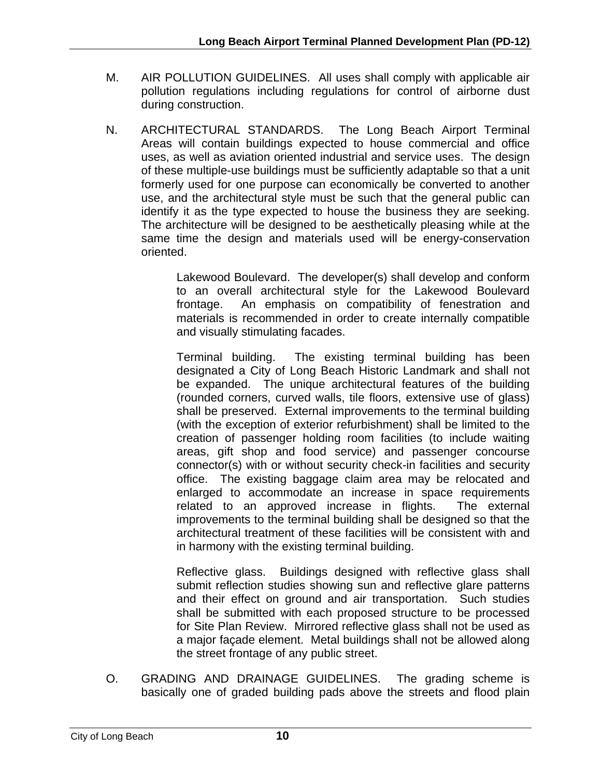- M. AIR POLLUTION GUIDELINES. All uses shall comply with applicable air pollution regulations including regulations for control of airborne dust during construction.
- N. ARCHITECTURAL STANDARDS. The Long Beach Airport Terminal Areas will contain buildings expected to house commercial and office uses, as well as aviation oriented industrial and service uses. The design of these multiple-use buildings must be sufficiently adaptable so that a unit formerly used for one purpose can economically be converted to another use, and the architectural style must be such that the general public can identify it as the type expected to house the business they are seeking. The architecture will be designed to be aesthetically pleasing while at the same time the design and materials used will be energy-conservation oriented.

Lakewood Boulevard. The developer(s) shall develop and conform to an overall architectural style for the Lakewood Boulevard frontage. An emphasis on compatibility of fenestration and materials is recommended in order to create internally compatible and visually stimulating facades.

Terminal building. The existing terminal building has been designated a City of Long Beach Historic Landmark and shall not be expanded. The unique architectural features of the building (rounded corners, curved walls, tile floors, extensive use of glass) shall be preserved. External improvements to the terminal building (with the exception of exterior refurbishment) shall be limited to the creation of passenger holding room facilities (to include waiting areas, gift shop and food service) and passenger concourse connector(s) with or without security check-in facilities and security office. The existing baggage claim area may be relocated and enlarged to accommodate an increase in space requirements related to an approved increase in flights. The external improvements to the terminal building shall be designed so that the architectural treatment of these facilities will be consistent with and in harmony with the existing terminal building.

Reflective glass. Buildings designed with reflective glass shall submit reflection studies showing sun and reflective glare patterns and their effect on ground and air transportation. Such studies shall be submitted with each proposed structure to be processed for Site Plan Review. Mirrored reflective glass shall not be used as a major façade element. Metal buildings shall not be allowed along the street frontage of any public street.

O. GRADING AND DRAINAGE GUIDELINES. The grading scheme is basically one of graded building pads above the streets and flood plain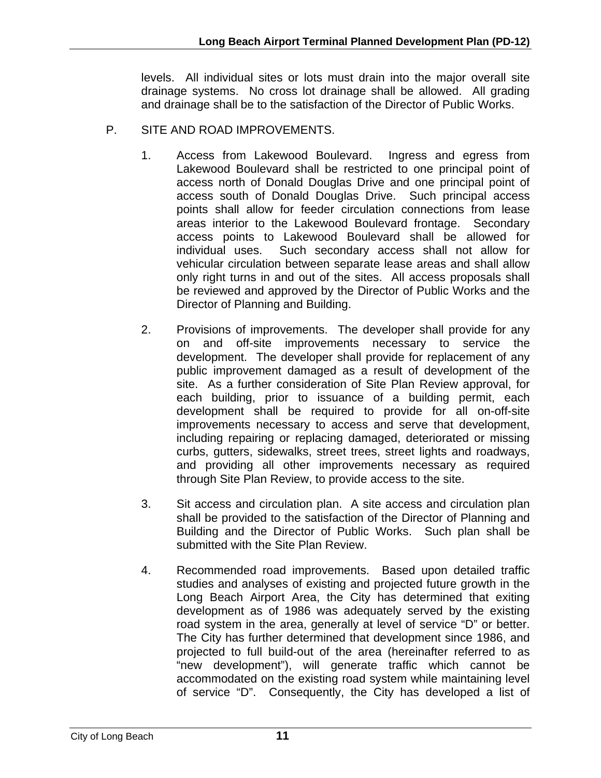levels. All individual sites or lots must drain into the major overall site drainage systems. No cross lot drainage shall be allowed. All grading and drainage shall be to the satisfaction of the Director of Public Works.

- P. SITE AND ROAD IMPROVEMENTS.
	- 1. Access from Lakewood Boulevard. Ingress and egress from Lakewood Boulevard shall be restricted to one principal point of access north of Donald Douglas Drive and one principal point of access south of Donald Douglas Drive. Such principal access points shall allow for feeder circulation connections from lease areas interior to the Lakewood Boulevard frontage. Secondary access points to Lakewood Boulevard shall be allowed for individual uses. Such secondary access shall not allow for vehicular circulation between separate lease areas and shall allow only right turns in and out of the sites. All access proposals shall be reviewed and approved by the Director of Public Works and the Director of Planning and Building.
	- 2. Provisions of improvements. The developer shall provide for any on and off-site improvements necessary to service the development. The developer shall provide for replacement of any public improvement damaged as a result of development of the site. As a further consideration of Site Plan Review approval, for each building, prior to issuance of a building permit, each development shall be required to provide for all on-off-site improvements necessary to access and serve that development, including repairing or replacing damaged, deteriorated or missing curbs, gutters, sidewalks, street trees, street lights and roadways, and providing all other improvements necessary as required through Site Plan Review, to provide access to the site.
	- 3. Sit access and circulation plan. A site access and circulation plan shall be provided to the satisfaction of the Director of Planning and Building and the Director of Public Works. Such plan shall be submitted with the Site Plan Review.
	- 4. Recommended road improvements. Based upon detailed traffic studies and analyses of existing and projected future growth in the Long Beach Airport Area, the City has determined that exiting development as of 1986 was adequately served by the existing road system in the area, generally at level of service "D" or better. The City has further determined that development since 1986, and projected to full build-out of the area (hereinafter referred to as "new development"), will generate traffic which cannot be accommodated on the existing road system while maintaining level of service "D". Consequently, the City has developed a list of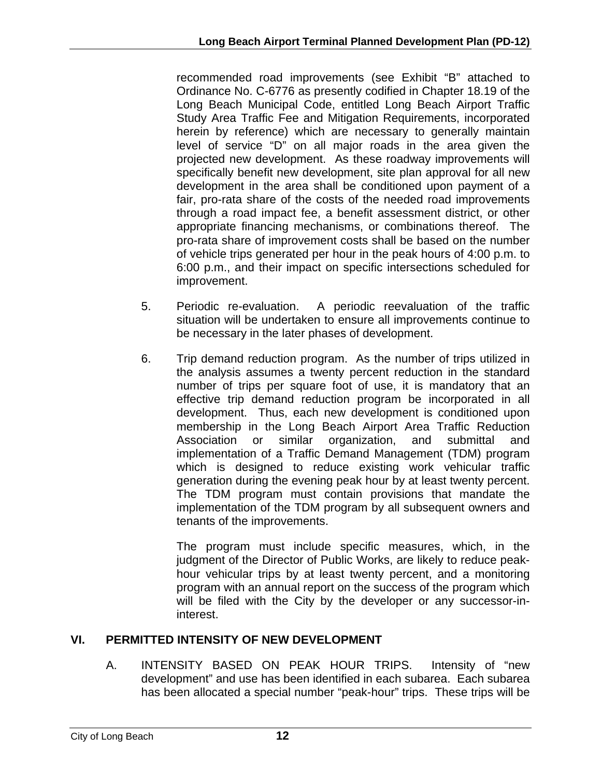recommended road improvements (see Exhibit "B" attached to Ordinance No. C-6776 as presently codified in Chapter 18.19 of the Long Beach Municipal Code, entitled Long Beach Airport Traffic Study Area Traffic Fee and Mitigation Requirements, incorporated herein by reference) which are necessary to generally maintain level of service "D" on all major roads in the area given the projected new development. As these roadway improvements will specifically benefit new development, site plan approval for all new development in the area shall be conditioned upon payment of a fair, pro-rata share of the costs of the needed road improvements through a road impact fee, a benefit assessment district, or other appropriate financing mechanisms, or combinations thereof. The pro-rata share of improvement costs shall be based on the number of vehicle trips generated per hour in the peak hours of 4:00 p.m. to 6:00 p.m., and their impact on specific intersections scheduled for improvement.

- 5. Periodic re-evaluation. A periodic reevaluation of the traffic situation will be undertaken to ensure all improvements continue to be necessary in the later phases of development.
- 6. Trip demand reduction program. As the number of trips utilized in the analysis assumes a twenty percent reduction in the standard number of trips per square foot of use, it is mandatory that an effective trip demand reduction program be incorporated in all development. Thus, each new development is conditioned upon membership in the Long Beach Airport Area Traffic Reduction Association or similar organization, and submittal and implementation of a Traffic Demand Management (TDM) program which is designed to reduce existing work vehicular traffic generation during the evening peak hour by at least twenty percent. The TDM program must contain provisions that mandate the implementation of the TDM program by all subsequent owners and tenants of the improvements.

The program must include specific measures, which, in the judgment of the Director of Public Works, are likely to reduce peakhour vehicular trips by at least twenty percent, and a monitoring program with an annual report on the success of the program which will be filed with the City by the developer or any successor-ininterest.

# **VI. PERMITTED INTENSITY OF NEW DEVELOPMENT**

A. INTENSITY BASED ON PEAK HOUR TRIPS. Intensity of "new development" and use has been identified in each subarea. Each subarea has been allocated a special number "peak-hour" trips. These trips will be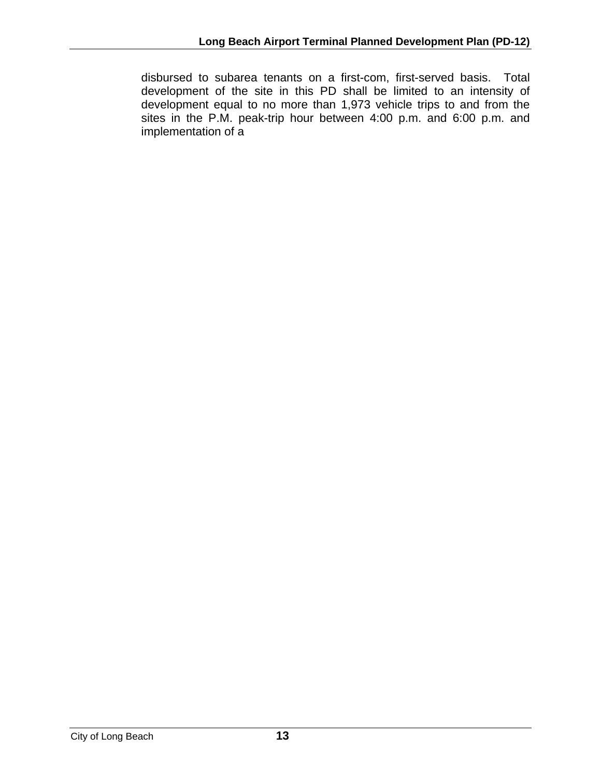disbursed to subarea tenants on a first-com, first-served basis. Total development of the site in this PD shall be limited to an intensity of development equal to no more than 1,973 vehicle trips to and from the sites in the P.M. peak-trip hour between 4:00 p.m. and 6:00 p.m. and implementation of a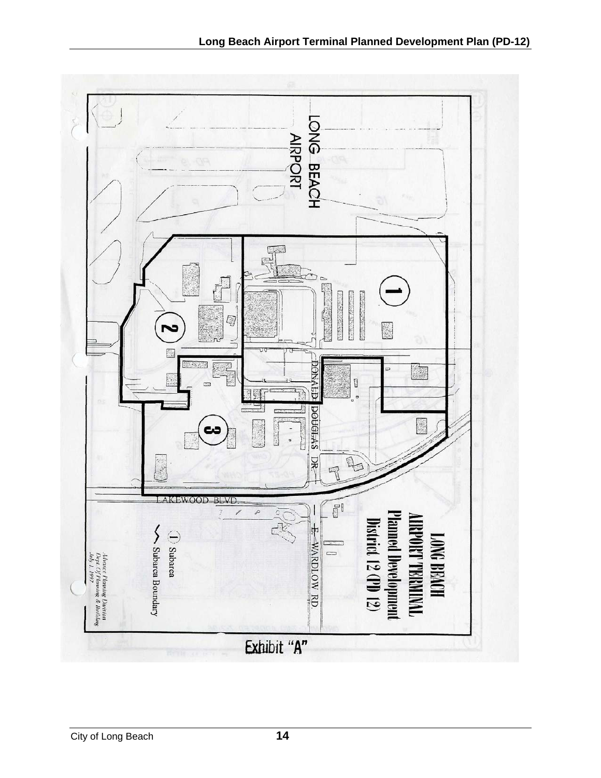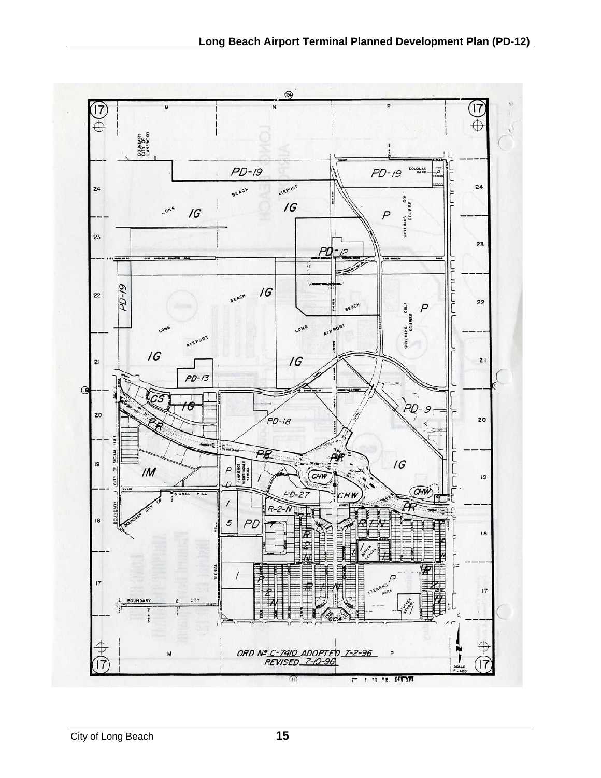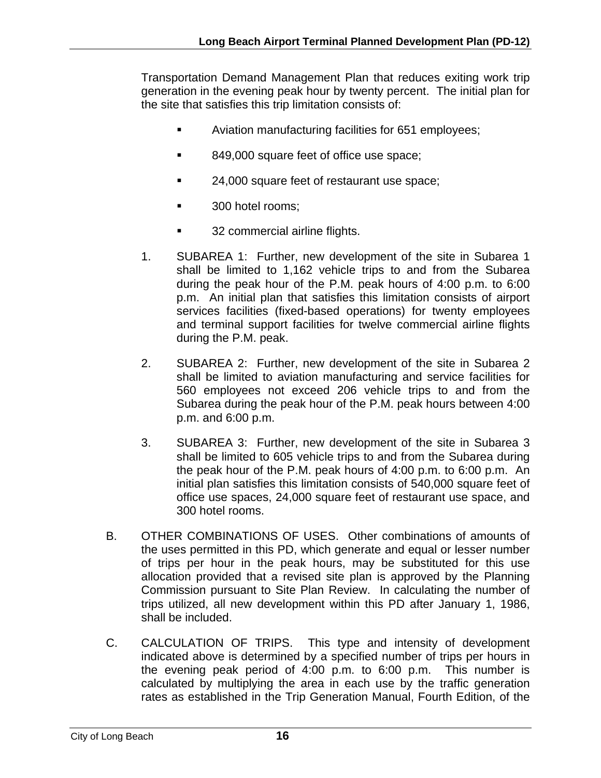Transportation Demand Management Plan that reduces exiting work trip generation in the evening peak hour by twenty percent. The initial plan for the site that satisfies this trip limitation consists of:

- Aviation manufacturing facilities for 651 employees;
- 849,000 square feet of office use space;
- **24,000 square feet of restaurant use space;**
- **300 hotel rooms;**
- **32 commercial airline flights.**
- 1. SUBAREA 1: Further, new development of the site in Subarea 1 shall be limited to 1,162 vehicle trips to and from the Subarea during the peak hour of the P.M. peak hours of 4:00 p.m. to 6:00 p.m. An initial plan that satisfies this limitation consists of airport services facilities (fixed-based operations) for twenty employees and terminal support facilities for twelve commercial airline flights during the P.M. peak.
- 2. SUBAREA 2: Further, new development of the site in Subarea 2 shall be limited to aviation manufacturing and service facilities for 560 employees not exceed 206 vehicle trips to and from the Subarea during the peak hour of the P.M. peak hours between 4:00 p.m. and 6:00 p.m.
- 3. SUBAREA 3: Further, new development of the site in Subarea 3 shall be limited to 605 vehicle trips to and from the Subarea during the peak hour of the P.M. peak hours of 4:00 p.m. to 6:00 p.m. An initial plan satisfies this limitation consists of 540,000 square feet of office use spaces, 24,000 square feet of restaurant use space, and 300 hotel rooms.
- B. OTHER COMBINATIONS OF USES. Other combinations of amounts of the uses permitted in this PD, which generate and equal or lesser number of trips per hour in the peak hours, may be substituted for this use allocation provided that a revised site plan is approved by the Planning Commission pursuant to Site Plan Review. In calculating the number of trips utilized, all new development within this PD after January 1, 1986, shall be included.
- C. CALCULATION OF TRIPS. This type and intensity of development indicated above is determined by a specified number of trips per hours in the evening peak period of 4:00 p.m. to 6:00 p.m. This number is calculated by multiplying the area in each use by the traffic generation rates as established in the Trip Generation Manual, Fourth Edition, of the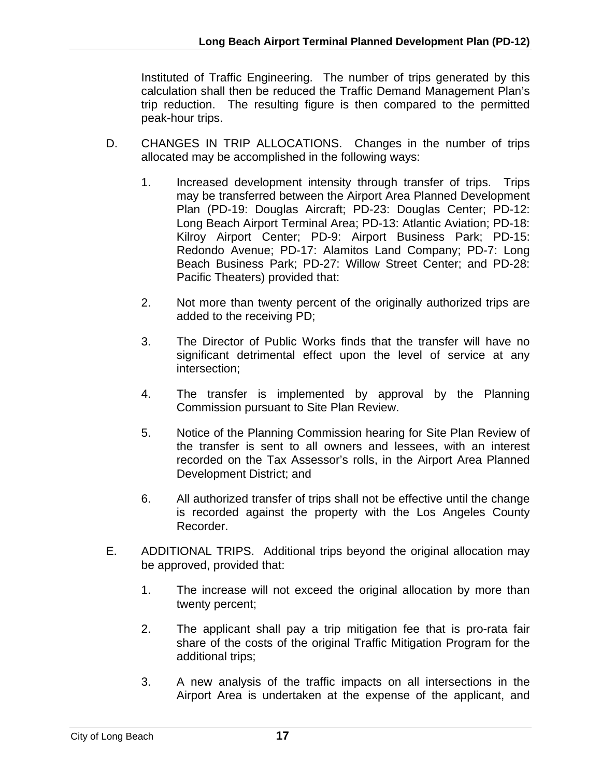Instituted of Traffic Engineering. The number of trips generated by this calculation shall then be reduced the Traffic Demand Management Plan's trip reduction. The resulting figure is then compared to the permitted peak-hour trips.

- D. CHANGES IN TRIP ALLOCATIONS. Changes in the number of trips allocated may be accomplished in the following ways:
	- 1. Increased development intensity through transfer of trips. Trips may be transferred between the Airport Area Planned Development Plan (PD-19: Douglas Aircraft; PD-23: Douglas Center; PD-12: Long Beach Airport Terminal Area; PD-13: Atlantic Aviation; PD-18: Kilroy Airport Center; PD-9: Airport Business Park; PD-15: Redondo Avenue; PD-17: Alamitos Land Company; PD-7: Long Beach Business Park; PD-27: Willow Street Center; and PD-28: Pacific Theaters) provided that:
	- 2. Not more than twenty percent of the originally authorized trips are added to the receiving PD;
	- 3. The Director of Public Works finds that the transfer will have no significant detrimental effect upon the level of service at any intersection;
	- 4. The transfer is implemented by approval by the Planning Commission pursuant to Site Plan Review.
	- 5. Notice of the Planning Commission hearing for Site Plan Review of the transfer is sent to all owners and lessees, with an interest recorded on the Tax Assessor's rolls, in the Airport Area Planned Development District; and
	- 6. All authorized transfer of trips shall not be effective until the change is recorded against the property with the Los Angeles County Recorder.
- E. ADDITIONAL TRIPS. Additional trips beyond the original allocation may be approved, provided that:
	- 1. The increase will not exceed the original allocation by more than twenty percent;
	- 2. The applicant shall pay a trip mitigation fee that is pro-rata fair share of the costs of the original Traffic Mitigation Program for the additional trips;
	- 3. A new analysis of the traffic impacts on all intersections in the Airport Area is undertaken at the expense of the applicant, and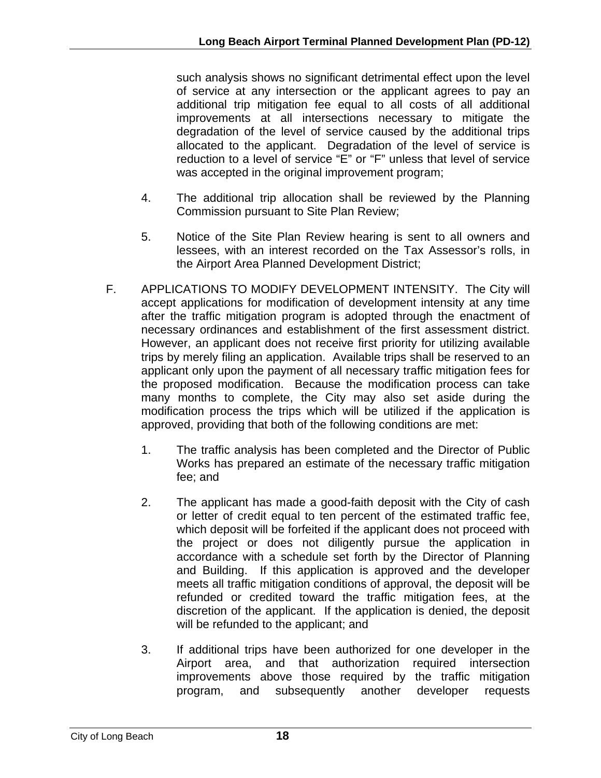such analysis shows no significant detrimental effect upon the level of service at any intersection or the applicant agrees to pay an additional trip mitigation fee equal to all costs of all additional improvements at all intersections necessary to mitigate the degradation of the level of service caused by the additional trips allocated to the applicant. Degradation of the level of service is reduction to a level of service "E" or "F" unless that level of service was accepted in the original improvement program;

- 4. The additional trip allocation shall be reviewed by the Planning Commission pursuant to Site Plan Review;
- 5. Notice of the Site Plan Review hearing is sent to all owners and lessees, with an interest recorded on the Tax Assessor's rolls, in the Airport Area Planned Development District;
- F. APPLICATIONS TO MODIFY DEVELOPMENT INTENSITY. The City will accept applications for modification of development intensity at any time after the traffic mitigation program is adopted through the enactment of necessary ordinances and establishment of the first assessment district. However, an applicant does not receive first priority for utilizing available trips by merely filing an application. Available trips shall be reserved to an applicant only upon the payment of all necessary traffic mitigation fees for the proposed modification. Because the modification process can take many months to complete, the City may also set aside during the modification process the trips which will be utilized if the application is approved, providing that both of the following conditions are met:
	- 1. The traffic analysis has been completed and the Director of Public Works has prepared an estimate of the necessary traffic mitigation fee; and
	- 2. The applicant has made a good-faith deposit with the City of cash or letter of credit equal to ten percent of the estimated traffic fee, which deposit will be forfeited if the applicant does not proceed with the project or does not diligently pursue the application in accordance with a schedule set forth by the Director of Planning and Building. If this application is approved and the developer meets all traffic mitigation conditions of approval, the deposit will be refunded or credited toward the traffic mitigation fees, at the discretion of the applicant. If the application is denied, the deposit will be refunded to the applicant; and
	- 3. If additional trips have been authorized for one developer in the Airport area, and that authorization required intersection improvements above those required by the traffic mitigation program, and subsequently another developer requests